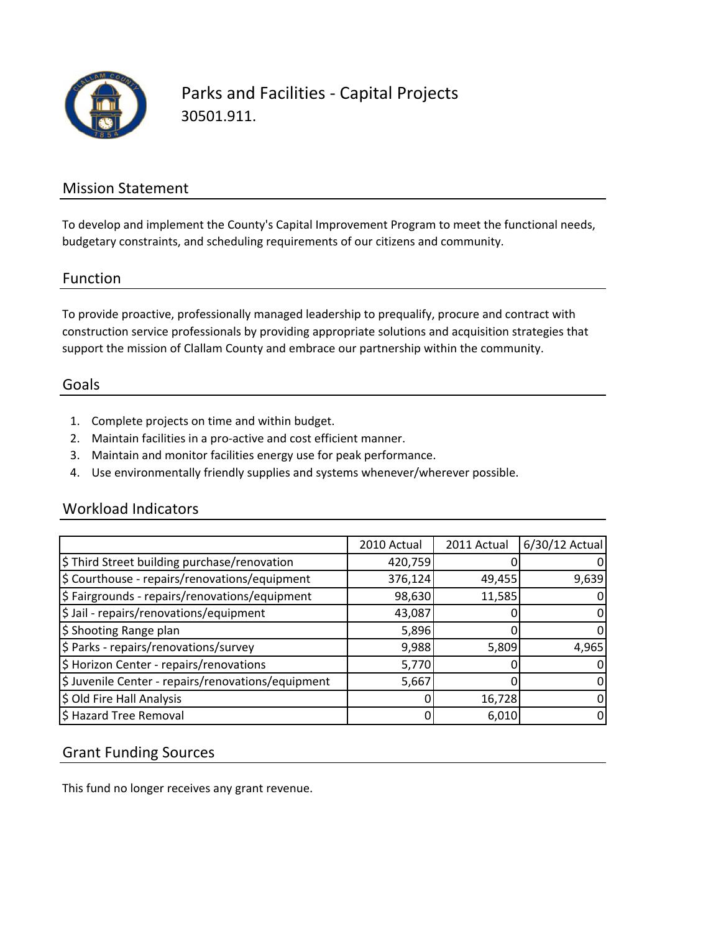

Parks and Facilities ‐ Capital Projects 30501.911.

### Mission Statement

To develop and implement the County's Capital Improvement Program to meet the functional needs, budgetary constraints, and scheduling requirements of our citizens and community.

#### Function

To provide proactive, professionally managed leadership to prequalify, procure and contract with construction service professionals by providing appropriate solutions and acquisition strategies that support the mission of Clallam County and embrace our partnership within the community.

#### Goals

- 1. Complete projects on time and within budget.
- 2. Maintain facilities in a pro‐active and cost efficient manner.
- 3. Maintain and monitor facilities energy use for peak performance.
- 4. Use environmentally friendly supplies and systems whenever/wherever possible.

#### Workload Indicators

|                                                    | 2010 Actual | 2011 Actual | 6/30/12 Actual |
|----------------------------------------------------|-------------|-------------|----------------|
| \$ Third Street building purchase/renovation       | 420,759     |             |                |
| \$ Courthouse - repairs/renovations/equipment      | 376,124     | 49,455      | 9,639          |
| \$ Fairgrounds - repairs/renovations/equipment     | 98,630      | 11,585      |                |
| \$ Jail - repairs/renovations/equipment            | 43,087      |             |                |
| \$ Shooting Range plan                             | 5,896       |             |                |
| \$ Parks - repairs/renovations/survey              | 9,988       | 5,809       | 4,965          |
| \$ Horizon Center - repairs/renovations            | 5,770       |             |                |
| \$ Juvenile Center - repairs/renovations/equipment | 5,667       |             |                |
| \$ Old Fire Hall Analysis                          |             | 16,728      |                |
| \$ Hazard Tree Removal                             |             | 6,010       |                |

## Grant Funding Sources

This fund no longer receives any grant revenue.